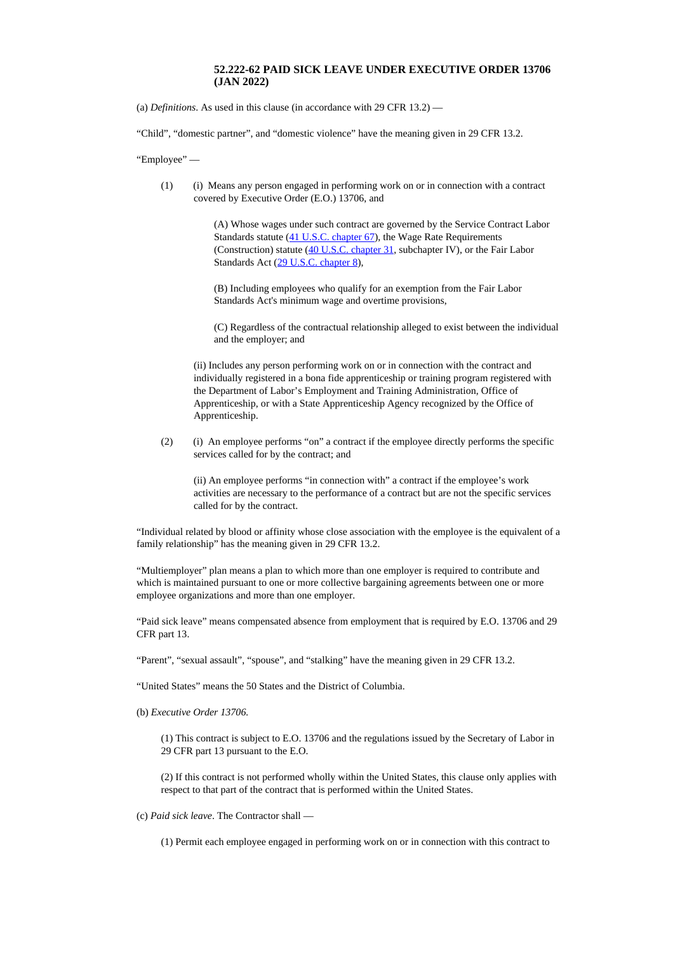## **52.222-62 PAID SICK LEAVE UNDER EXECUTIVE ORDER 13706 (JAN 2022)**

(a) *Definitions*. As used in this clause (in accordance with 29 CFR 13.2) —

"Child", "domestic partner", and "domestic violence" have the meaning given in 29 CFR 13.2.

"Employee" —

(1) (i) Means any person engaged in performing work on or in connection with a contract covered by Executive Order (E.O.) 13706, and

> (A) Whose wages under such contract are governed by the Service Contract Labor Standards statute (41 U.S.C. [chapter](http://uscode.house.gov/) 67), the Wage Rate Requirements (Construction) statute (40 U.S.C. [chapter](http://uscode.house.gov/) 31, subchapter IV), or the Fair Labor Standards Act (29 U.S.C. [chapter](http://uscode.house.gov/) 8),

(B) Including employees who qualify for an exemption from the Fair Labor Standards Act's minimum wage and overtime provisions,

(C) Regardless of the contractual relationship alleged to exist between the individual and the employer; and

(ii) Includes any person performing work on or in connection with the contract and individually registered in a bona fide apprenticeship or training program registered with the Department of Labor's Employment and Training Administration, Office of Apprenticeship, or with a State Apprenticeship Agency recognized by the Office of Apprenticeship.

(2) (i) An employee performs "on" a contract if the employee directly performs the specific services called for by the contract; and

(ii) An employee performs "in connection with" a contract if the employee's work activities are necessary to the performance of a contract but are not the specific services called for by the contract.

"Individual related by blood or affinity whose close association with the employee is the equivalent of a family relationship" has the meaning given in 29 CFR 13.2.

"Multiemployer" plan means a plan to which more than one employer is required to contribute and which is maintained pursuant to one or more collective bargaining agreements between one or more employee organizations and more than one employer.

"Paid sick leave" means compensated absence from employment that is required by E.O. 13706 and 29 CFR part 13.

"Parent", "sexual assault", "spouse", and "stalking" have the meaning given in 29 CFR 13.2.

"United States" means the 50 States and the District of Columbia.

(b) *Executive Order 13706.*

(1) This contract is subject to E.O. 13706 and the regulations issued by the Secretary of Labor in 29 CFR part 13 pursuant to the E.O.

(2) If this contract is not performed wholly within the United States, this clause only applies with respect to that part of the contract that is performed within the United States.

(c) *Paid sick leave*. The Contractor shall —

(1) Permit each employee engaged in performing work on or in connection with this contract to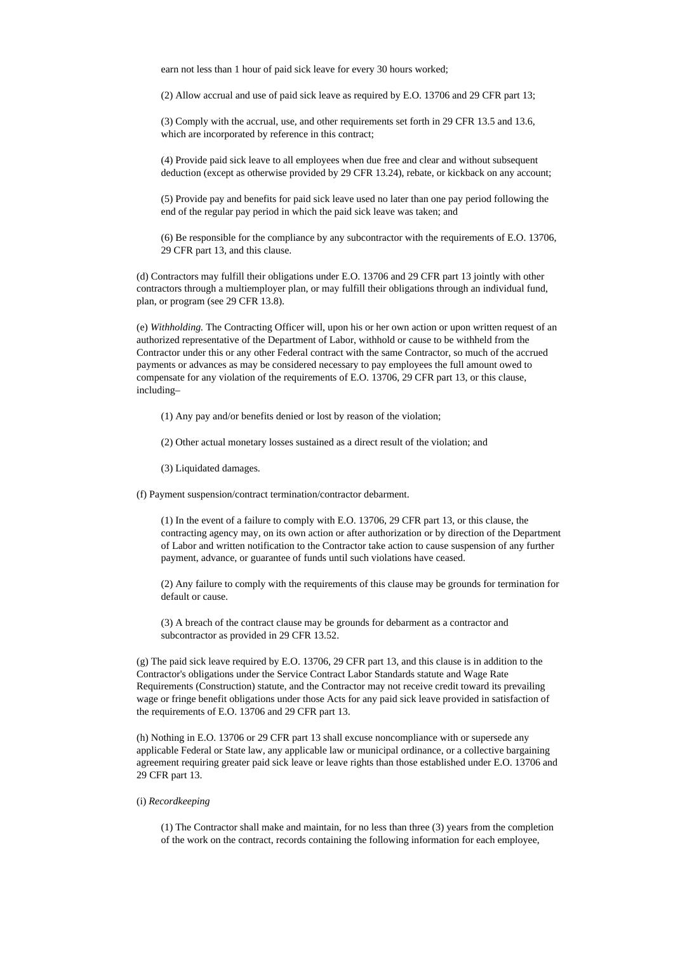earn not less than 1 hour of paid sick leave for every 30 hours worked;

(2) Allow accrual and use of paid sick leave as required by E.O. 13706 and 29 CFR part 13;

(3) Comply with the accrual, use, and other requirements set forth in 29 CFR 13.5 and 13.6, which are incorporated by reference in this contract;

(4) Provide paid sick leave to all employees when due free and clear and without subsequent deduction (except as otherwise provided by 29 CFR 13.24), rebate, or kickback on any account;

(5) Provide pay and benefits for paid sick leave used no later than one pay period following the end of the regular pay period in which the paid sick leave was taken; and

(6) Be responsible for the compliance by any subcontractor with the requirements of E.O. 13706, 29 CFR part 13, and this clause.

(d) Contractors may fulfill their obligations under E.O. 13706 and 29 CFR part 13 jointly with other contractors through a multiemployer plan, or may fulfill their obligations through an individual fund, plan, or program (see 29 CFR 13.8).

(e) *Withholding.* The Contracting Officer will, upon his or her own action or upon written request of an authorized representative of the Department of Labor, withhold or cause to be withheld from the Contractor under this or any other Federal contract with the same Contractor, so much of the accrued payments or advances as may be considered necessary to pay employees the full amount owed to compensate for any violation of the requirements of E.O. 13706, 29 CFR part 13, or this clause, including–

- (1) Any pay and/or benefits denied or lost by reason of the violation;
- (2) Other actual monetary losses sustained as a direct result of the violation; and
- (3) Liquidated damages.

(f) Payment suspension/contract termination/contractor debarment.

(1) In the event of a failure to comply with E.O. 13706, 29 CFR part 13, or this clause, the contracting agency may, on its own action or after authorization or by direction of the Department of Labor and written notification to the Contractor take action to cause suspension of any further payment, advance, or guarantee of funds until such violations have ceased.

(2) Any failure to comply with the requirements of this clause may be grounds for termination for default or cause.

(3) A breach of the contract clause may be grounds for debarment as a contractor and subcontractor as provided in 29 CFR 13.52.

(g) The paid sick leave required by E.O. 13706, 29 CFR part 13, and this clause is in addition to the Contractor's obligations under the Service Contract Labor Standards statute and Wage Rate Requirements (Construction) statute, and the Contractor may not receive credit toward its prevailing wage or fringe benefit obligations under those Acts for any paid sick leave provided in satisfaction of the requirements of E.O. 13706 and 29 CFR part 13.

(h) Nothing in E.O. 13706 or 29 CFR part 13 shall excuse noncompliance with or supersede any applicable Federal or State law, any applicable law or municipal ordinance, or a collective bargaining agreement requiring greater paid sick leave or leave rights than those established under E.O. 13706 and 29 CFR part 13.

## (i) *Recordkeeping*

(1) The Contractor shall make and maintain, for no less than three (3) years from the completion of the work on the contract, records containing the following information for each employee,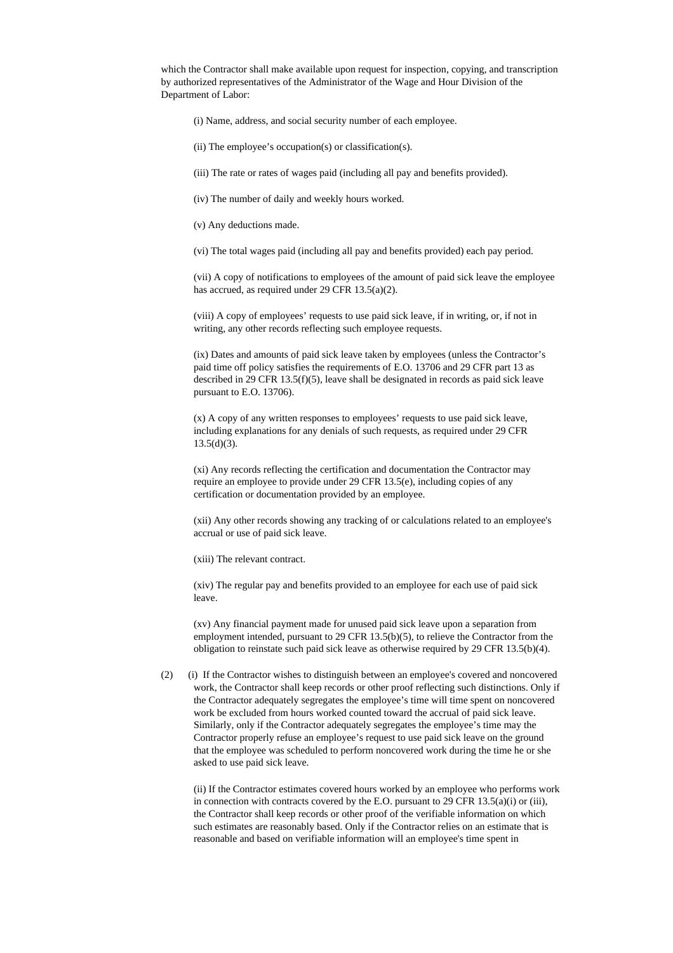which the Contractor shall make available upon request for inspection, copying, and transcription by authorized representatives of the Administrator of the Wage and Hour Division of the Department of Labor:

- (i) Name, address, and social security number of each employee.
- (ii) The employee's occupation(s) or classification(s).
- (iii) The rate or rates of wages paid (including all pay and benefits provided).
- (iv) The number of daily and weekly hours worked.
- (v) Any deductions made.
- (vi) The total wages paid (including all pay and benefits provided) each pay period.

(vii) A copy of notifications to employees of the amount of paid sick leave the employee has accrued, as required under 29 CFR 13.5(a)(2).

(viii) A copy of employees' requests to use paid sick leave, if in writing, or, if not in writing, any other records reflecting such employee requests.

(ix) Dates and amounts of paid sick leave taken by employees (unless the Contractor's paid time off policy satisfies the requirements of E.O. 13706 and 29 CFR part 13 as described in 29 CFR 13.5(f)(5), leave shall be designated in records as paid sick leave pursuant to E.O. 13706).

(x) A copy of any written responses to employees' requests to use paid sick leave, including explanations for any denials of such requests, as required under 29 CFR  $13.5(d)(3)$ .

(xi) Any records reflecting the certification and documentation the Contractor may require an employee to provide under 29 CFR 13.5(e), including copies of any certification or documentation provided by an employee.

(xii) Any other records showing any tracking of or calculations related to an employee's accrual or use of paid sick leave.

(xiii) The relevant contract.

(xiv) The regular pay and benefits provided to an employee for each use of paid sick leave.

(xv) Any financial payment made for unused paid sick leave upon a separation from employment intended, pursuant to 29 CFR 13.5(b)(5), to relieve the Contractor from the obligation to reinstate such paid sick leave as otherwise required by 29 CFR 13.5(b)(4).

(2) (i) If the Contractor wishes to distinguish between an employee's covered and noncovered work, the Contractor shall keep records or other proof reflecting such distinctions. Only if the Contractor adequately segregates the employee's time will time spent on noncovered work be excluded from hours worked counted toward the accrual of paid sick leave. Similarly, only if the Contractor adequately segregates the employee's time may the Contractor properly refuse an employee's request to use paid sick leave on the ground that the employee was scheduled to perform noncovered work during the time he or she asked to use paid sick leave.

(ii) If the Contractor estimates covered hours worked by an employee who performs work in connection with contracts covered by the E.O. pursuant to 29 CFR 13.5(a)(i) or (iii), the Contractor shall keep records or other proof of the verifiable information on which such estimates are reasonably based. Only if the Contractor relies on an estimate that is reasonable and based on verifiable information will an employee's time spent in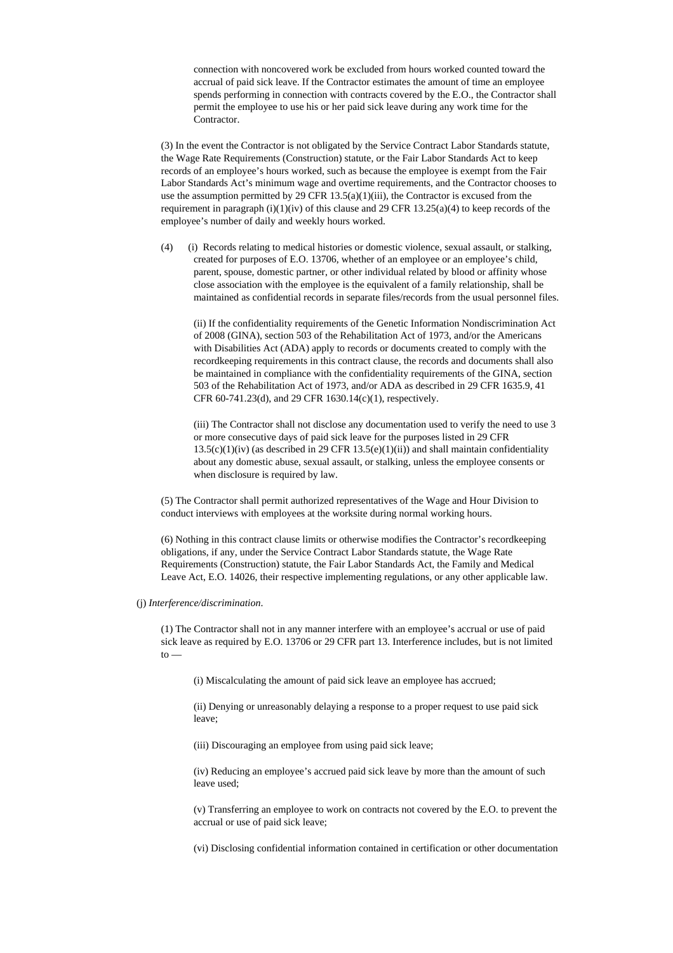connection with noncovered work be excluded from hours worked counted toward the accrual of paid sick leave. If the Contractor estimates the amount of time an employee spends performing in connection with contracts covered by the E.O., the Contractor shall permit the employee to use his or her paid sick leave during any work time for the Contractor.

(3) In the event the Contractor is not obligated by the Service Contract Labor Standards statute, the Wage Rate Requirements (Construction) statute, or the Fair Labor Standards Act to keep records of an employee's hours worked, such as because the employee is exempt from the Fair Labor Standards Act's minimum wage and overtime requirements, and the Contractor chooses to use the assumption permitted by 29 CFR  $13.5(a)(1)(iii)$ , the Contractor is excused from the requirement in paragraph (i)(1)(iv) of this clause and 29 CFR 13.25(a)(4) to keep records of the employee's number of daily and weekly hours worked.

(4) (i) Records relating to medical histories or domestic violence, sexual assault, or stalking, created for purposes of E.O. 13706, whether of an employee or an employee's child, parent, spouse, domestic partner, or other individual related by blood or affinity whose close association with the employee is the equivalent of a family relationship, shall be maintained as confidential records in separate files/records from the usual personnel files.

(ii) If the confidentiality requirements of the Genetic Information Nondiscrimination Act of 2008 (GINA), section 503 of the Rehabilitation Act of 1973, and/or the Americans with Disabilities Act (ADA) apply to records or documents created to comply with the recordkeeping requirements in this contract clause, the records and documents shall also be maintained in compliance with the confidentiality requirements of the GINA, section 503 of the Rehabilitation Act of 1973, and/or ADA as described in 29 CFR 1635.9, 41 CFR 60-741.23(d), and 29 CFR 1630.14(c)(1), respectively.

(iii) The Contractor shall not disclose any documentation used to verify the need to use 3 or more consecutive days of paid sick leave for the purposes listed in 29 CFR  $13.5(c)(1)(iv)$  (as described in 29 CFR  $13.5(e)(1)(ii)$ ) and shall maintain confidentiality about any domestic abuse, sexual assault, or stalking, unless the employee consents or when disclosure is required by law.

(5) The Contractor shall permit authorized representatives of the Wage and Hour Division to conduct interviews with employees at the worksite during normal working hours.

(6) Nothing in this contract clause limits or otherwise modifies the Contractor's recordkeeping obligations, if any, under the Service Contract Labor Standards statute, the Wage Rate Requirements (Construction) statute, the Fair Labor Standards Act, the Family and Medical Leave Act, E.O. 14026, their respective implementing regulations, or any other applicable law.

(j) *Interference/discrimination*.

(1) The Contractor shall not in any manner interfere with an employee's accrual or use of paid sick leave as required by E.O. 13706 or 29 CFR part 13. Interference includes, but is not limited  $to -$ 

(i) Miscalculating the amount of paid sick leave an employee has accrued;

(ii) Denying or unreasonably delaying a response to a proper request to use paid sick leave;

(iii) Discouraging an employee from using paid sick leave;

(iv) Reducing an employee's accrued paid sick leave by more than the amount of such leave used;

(v) Transferring an employee to work on contracts not covered by the E.O. to prevent the accrual or use of paid sick leave;

(vi) Disclosing confidential information contained in certification or other documentation